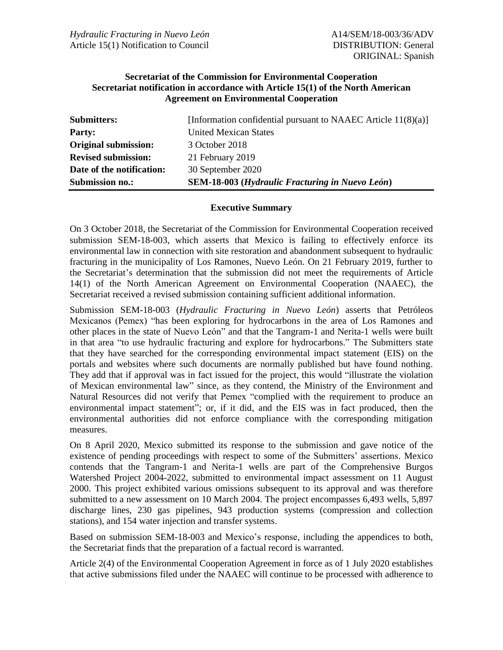### **Secretariat of the Commission for Environmental Cooperation Secretariat notification in accordance with Article 15(1) of the North American Agreement on Environmental Cooperation**

| <b>Original submission:</b><br><b>Revised submission:</b> | 3 October 2018<br>21 February 2019                     |
|-----------------------------------------------------------|--------------------------------------------------------|
| Date of the notification:                                 | 30 September 2020                                      |
| <b>Submission no.:</b>                                    | <b>SEM-18-003</b> (Hydraulic Fracturing in Nuevo León) |

### **Executive Summary**

On 3 October 2018, the Secretariat of the Commission for Environmental Cooperation received submission SEM-18-003, which asserts that Mexico is failing to effectively enforce its environmental law in connection with site restoration and abandonment subsequent to hydraulic fracturing in the municipality of Los Ramones, Nuevo León. On 21 February 2019, further to the Secretariat's determination that the submission did not meet the requirements of Article 14(1) of the North American Agreement on Environmental Cooperation (NAAEC), the Secretariat received a revised submission containing sufficient additional information.

Submission SEM-18-003 (*Hydraulic Fracturing in Nuevo León*) asserts that Petróleos Mexicanos (Pemex) "has been exploring for hydrocarbons in the area of Los Ramones and other places in the state of Nuevo León" and that the Tangram-1 and Nerita-1 wells were built in that area "to use hydraulic fracturing and explore for hydrocarbons." The Submitters state that they have searched for the corresponding environmental impact statement (EIS) on the portals and websites where such documents are normally published but have found nothing. They add that if approval was in fact issued for the project, this would "illustrate the violation of Mexican environmental law" since, as they contend, the Ministry of the Environment and Natural Resources did not verify that Pemex "complied with the requirement to produce an environmental impact statement"; or, if it did, and the EIS was in fact produced, then the environmental authorities did not enforce compliance with the corresponding mitigation measures.

On 8 April 2020, Mexico submitted its response to the submission and gave notice of the existence of pending proceedings with respect to some of the Submitters' assertions. Mexico contends that the Tangram-1 and Nerita-1 wells are part of the Comprehensive Burgos Watershed Project 2004-2022, submitted to environmental impact assessment on 11 August 2000. This project exhibited various omissions subsequent to its approval and was therefore submitted to a new assessment on 10 March 2004. The project encompasses 6,493 wells, 5,897 discharge lines, 230 gas pipelines, 943 production systems (compression and collection stations), and 154 water injection and transfer systems.

Based on submission SEM-18-003 and Mexico's response, including the appendices to both, the Secretariat finds that the preparation of a factual record is warranted.

Article 2(4) of the Environmental Cooperation Agreement in force as of 1 July 2020 establishes that active submissions filed under the NAAEC will continue to be processed with adherence to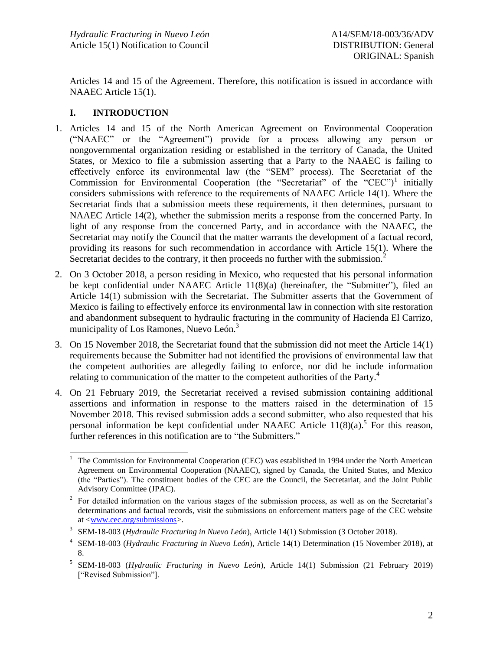Articles 14 and 15 of the Agreement. Therefore, this notification is issued in accordance with NAAEC Article 15(1).

# **I. INTRODUCTION**

- 1. Articles 14 and 15 of the North American Agreement on Environmental Cooperation ("NAAEC" or the "Agreement") provide for a process allowing any person or nongovernmental organization residing or established in the territory of Canada, the United States, or Mexico to file a submission asserting that a Party to the NAAEC is failing to effectively enforce its environmental law (the "SEM" process). The Secretariat of the Commission for Environmental Cooperation (the "Secretariat" of the "CEC")<sup>1</sup> initially considers submissions with reference to the requirements of NAAEC Article 14(1). Where the Secretariat finds that a submission meets these requirements, it then determines, pursuant to NAAEC Article 14(2), whether the submission merits a response from the concerned Party. In light of any response from the concerned Party, and in accordance with the NAAEC, the Secretariat may notify the Council that the matter warrants the development of a factual record, providing its reasons for such recommendation in accordance with Article 15(1). Where the Secretariat decides to the contrary, it then proceeds no further with the submission.<sup>2</sup>
- 2. On 3 October 2018, a person residing in Mexico, who requested that his personal information be kept confidential under NAAEC Article 11(8)(a) (hereinafter, the "Submitter"), filed an Article 14(1) submission with the Secretariat. The Submitter asserts that the Government of Mexico is failing to effectively enforce its environmental law in connection with site restoration and abandonment subsequent to hydraulic fracturing in the community of Hacienda El Carrizo, municipality of Los Ramones, Nuevo León.<sup>3</sup>
- 3. On 15 November 2018, the Secretariat found that the submission did not meet the Article 14(1) requirements because the Submitter had not identified the provisions of environmental law that the competent authorities are allegedly failing to enforce, nor did he include information relating to communication of the matter to the competent authorities of the Party.<sup>4</sup>
- 4. On 21 February 2019, the Secretariat received a revised submission containing additional assertions and information in response to the matters raised in the determination of 15 November 2018. This revised submission adds a second submitter, who also requested that his personal information be kept confidential under NAAEC Article  $11(8)(a)$ .<sup>5</sup> For this reason, further references in this notification are to "the Submitters."

 $\,1\,$ The Commission for Environmental Cooperation (CEC) was established in 1994 under the North American Agreement on Environmental Cooperation (NAAEC), signed by Canada, the United States, and Mexico (the "Parties"). The constituent bodies of the CEC are the Council, the Secretariat, and the Joint Public Advisory Committee (JPAC).

<sup>2</sup> For detailed information on the various stages of the submission process, as well as on the Secretariat's determinations and factual records, visit the submissions on enforcement matters page of the CEC website at [<www.cec.org/submissions>](http://www.cec.org/submissions).

<sup>3</sup> SEM-18-003 (*Hydraulic Fracturing in Nuevo León*), Article 14(1) Submission (3 October 2018).

<sup>4</sup> SEM-18-003 (*Hydraulic Fracturing in Nuevo León*), Article 14(1) Determination (15 November 2018), at 8.

<sup>5</sup> SEM-18-003 (*Hydraulic Fracturing in Nuevo León*), Article 14(1) Submission (21 February 2019) ["Revised Submission"].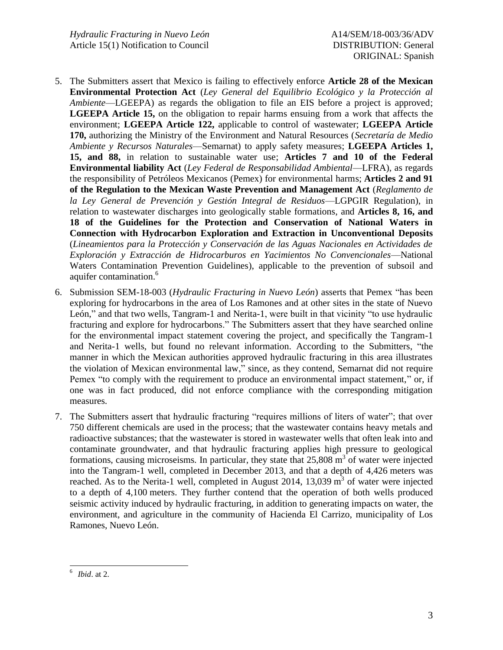- 5. The Submitters assert that Mexico is failing to effectively enforce **Article 28 of the Mexican Environmental Protection Act** (*Ley General del Equilibrio Ecológico y la Protección al Ambiente*—LGEEPA) as regards the obligation to file an EIS before a project is approved; **LGEEPA Article 15,** on the obligation to repair harms ensuing from a work that affects the environment; **LGEEPA Article 122,** applicable to control of wastewater; **LGEEPA Article 170,** authorizing the Ministry of the Environment and Natural Resources (*Secretaría de Medio Ambiente y Recursos Naturales*—Semarnat) to apply safety measures; **LGEEPA Articles 1, 15, and 88,** in relation to sustainable water use; **Articles 7 and 10 of the Federal Environmental liability Act** (*Ley Federal de Responsabilidad Ambiental*—LFRA), as regards the responsibility of Petróleos Mexicanos (Pemex) for environmental harms; **Articles 2 and 91 of the Regulation to the Mexican Waste Prevention and Management Act** (*Reglamento de la Ley General de Prevención y Gestión Integral de Residuos*—LGPGIR Regulation), in relation to wastewater discharges into geologically stable formations, and **Articles 8, 16, and 18 of the Guidelines for the Protection and Conservation of National Waters in Connection with Hydrocarbon Exploration and Extraction in Unconventional Deposits** (*Lineamientos para la Protección y Conservación de las Aguas Nacionales en Actividades de Exploración y Extracción de Hidrocarburos en Yacimientos No Convencionales*—National Waters Contamination Prevention Guidelines), applicable to the prevention of subsoil and aquifer contamination.<sup>6</sup>
- 6. Submission SEM-18-003 (*Hydraulic Fracturing in Nuevo León*) asserts that Pemex "has been exploring for hydrocarbons in the area of Los Ramones and at other sites in the state of Nuevo León," and that two wells, Tangram-1 and Nerita-1, were built in that vicinity "to use hydraulic fracturing and explore for hydrocarbons." The Submitters assert that they have searched online for the environmental impact statement covering the project, and specifically the Tangram-1 and Nerita-1 wells, but found no relevant information. According to the Submitters, "the manner in which the Mexican authorities approved hydraulic fracturing in this area illustrates the violation of Mexican environmental law," since, as they contend, Semarnat did not require Pemex "to comply with the requirement to produce an environmental impact statement," or, if one was in fact produced, did not enforce compliance with the corresponding mitigation measures.
- 7. The Submitters assert that hydraulic fracturing "requires millions of liters of water"; that over 750 different chemicals are used in the process; that the wastewater contains heavy metals and radioactive substances; that the wastewater is stored in wastewater wells that often leak into and contaminate groundwater, and that hydraulic fracturing applies high pressure to geological formations, causing microseisms. In particular, they state that 25,808 m<sup>3</sup> of water were injected into the Tangram-1 well, completed in December 2013, and that a depth of 4,426 meters was reached. As to the Nerita-1 well, completed in August 2014, 13,039  $\text{m}^3$  of water were injected to a depth of 4,100 meters. They further contend that the operation of both wells produced seismic activity induced by hydraulic fracturing, in addition to generating impacts on water, the environment, and agriculture in the community of Hacienda El Carrizo, municipality of Los Ramones, Nuevo León.

l 6 *Ibid*. at 2.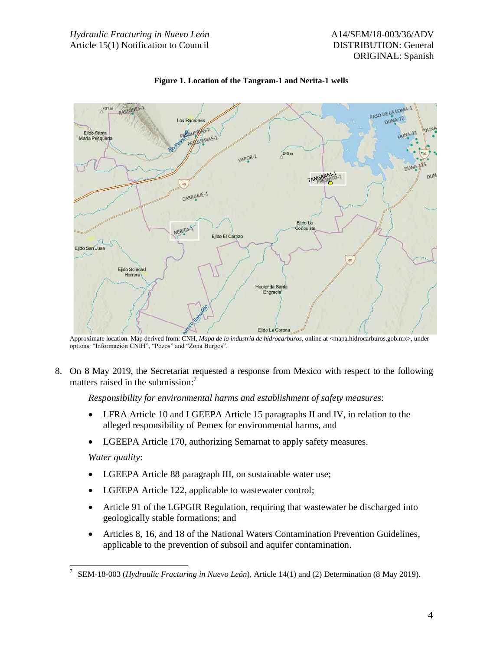

**Figure 1. Location of the Tangram-1 and Nerita-1 wells**

Approximate location. Map derived from: CNH, *Mapa de la industria de hidrocarburos*, online at <mapa.hidrocarburos.gob.mx>, under options: "Información CNIH", "Pozos" and "Zona Burgos".

8. On 8 May 2019, the Secretariat requested a response from Mexico with respect to the following matters raised in the submission: 7

*Responsibility for environmental harms and establishment of safety measures*:

- LFRA Article 10 and LGEEPA Article 15 paragraphs II and IV, in relation to the alleged responsibility of Pemex for environmental harms, and
- LGEEPA Article 170, authorizing Semarnat to apply safety measures.

*Water quality*:

- LGEEPA Article 88 paragraph III, on sustainable water use;
- LGEEPA Article 122, applicable to wastewater control;
- Article 91 of the LGPGIR Regulation, requiring that wastewater be discharged into geologically stable formations; and
- Articles 8, 16, and 18 of the National Waters Contamination Prevention Guidelines, applicable to the prevention of subsoil and aquifer contamination.

l 7 SEM-18-003 (*Hydraulic Fracturing in Nuevo León*), Article 14(1) and (2) Determination (8 May 2019).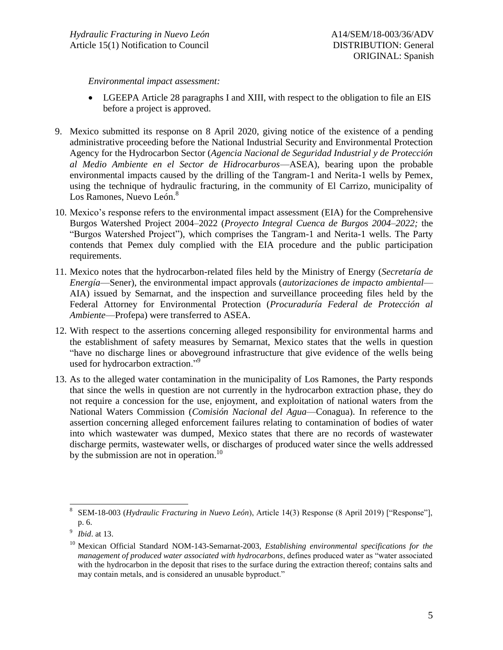*Environmental impact assessment:*

- LGEEPA Article 28 paragraphs I and XIII, with respect to the obligation to file an EIS before a project is approved.
- 9. Mexico submitted its response on 8 April 2020, giving notice of the existence of a pending administrative proceeding before the National Industrial Security and Environmental Protection Agency for the Hydrocarbon Sector (*Agencia Nacional de Seguridad Industrial y de Protección al Medio Ambiente en el Sector de Hidrocarburos*—ASEA), bearing upon the probable environmental impacts caused by the drilling of the Tangram-1 and Nerita-1 wells by Pemex, using the technique of hydraulic fracturing, in the community of El Carrizo, municipality of Los Ramones, Nuevo León.<sup>8</sup>
- 10. Mexico's response refers to the environmental impact assessment (EIA) for the Comprehensive Burgos Watershed Project 2004–2022 (*Proyecto Integral Cuenca de Burgos 2004–2022;* the "Burgos Watershed Project"), which comprises the Tangram-1 and Nerita-1 wells. The Party contends that Pemex duly complied with the EIA procedure and the public participation requirements.
- 11. Mexico notes that the hydrocarbon-related files held by the Ministry of Energy (*Secretaría de Energía*—Sener), the environmental impact approvals (*autorizaciones de impacto ambiental*— AIA) issued by Semarnat, and the inspection and surveillance proceeding files held by the Federal Attorney for Environmental Protection (*Procuraduría Federal de Protección al Ambiente*—Profepa) were transferred to ASEA.
- 12. With respect to the assertions concerning alleged responsibility for environmental harms and the establishment of safety measures by Semarnat, Mexico states that the wells in question "have no discharge lines or aboveground infrastructure that give evidence of the wells being used for hydrocarbon extraction."<sup>9</sup>
- 13. As to the alleged water contamination in the municipality of Los Ramones, the Party responds that since the wells in question are not currently in the hydrocarbon extraction phase, they do not require a concession for the use, enjoyment, and exploitation of national waters from the National Waters Commission (*Comisión Nacional del Agua*—Conagua). In reference to the assertion concerning alleged enforcement failures relating to contamination of bodies of water into which wastewater was dumped, Mexico states that there are no records of wastewater discharge permits, wastewater wells, or discharges of produced water since the wells addressed by the submission are not in operation.<sup>10</sup>

l 8 SEM-18-003 (*Hydraulic Fracturing in Nuevo León*), Article 14(3) Response (8 April 2019) ["Response"], p. 6.

<sup>9</sup> *Ibid*. at 13.

<sup>&</sup>lt;sup>10</sup> Mexican Official Standard NOM-143-Semarnat-2003, *Establishing environmental specifications for the management of produced water associated with hydrocarbons*, defines produced water as "water associated with the hydrocarbon in the deposit that rises to the surface during the extraction thereof; contains salts and may contain metals, and is considered an unusable byproduct."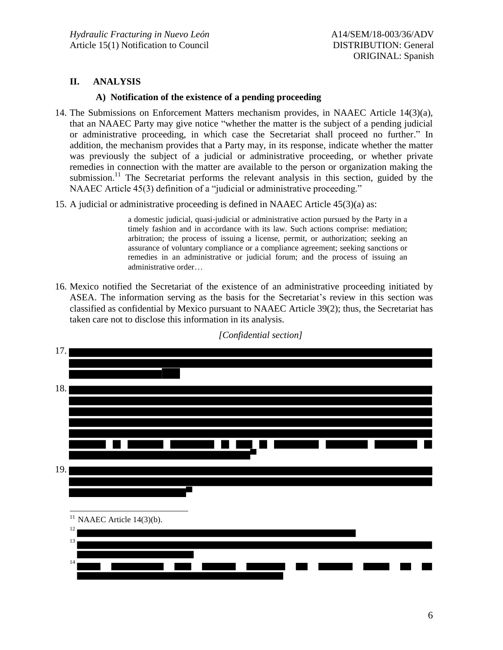## **II. ANALYSIS**

#### **A) Notification of the existence of a pending proceeding**

- 14. The Submissions on Enforcement Matters mechanism provides, in NAAEC Article 14(3)(a), that an NAAEC Party may give notice "whether the matter is the subject of a pending judicial or administrative proceeding, in which case the Secretariat shall proceed no further." In addition, the mechanism provides that a Party may, in its response, indicate whether the matter was previously the subject of a judicial or administrative proceeding, or whether private remedies in connection with the matter are available to the person or organization making the submission.<sup>11</sup> The Secretariat performs the relevant analysis in this section, guided by the NAAEC Article 45(3) definition of a "judicial or administrative proceeding."
- 15. A judicial or administrative proceeding is defined in NAAEC Article 45(3)(a) as:

a domestic judicial, quasi-judicial or administrative action pursued by the Party in a timely fashion and in accordance with its law. Such actions comprise: mediation; arbitration; the process of issuing a license, permit, or authorization; seeking an assurance of voluntary compliance or a compliance agreement; seeking sanctions or remedies in an administrative or judicial forum; and the process of issuing an administrative order…

16. Mexico notified the Secretariat of the existence of an administrative proceeding initiated by ASEA. The information serving as the basis for the Secretariat's review in this section was classified as confidential by Mexico pursuant to NAAEC Article 39(2); thus, the Secretariat has taken care not to disclose this information in its analysis.



*[Confidential section]*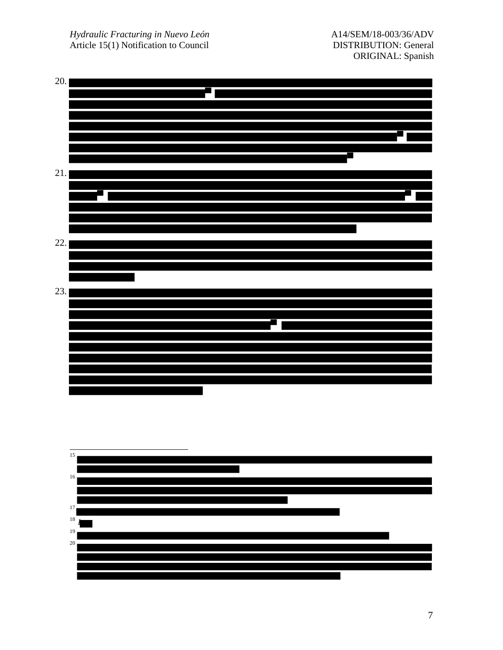*Hydraulic Fracturing in Nuevo León* Article 15(1) Notification to Council





7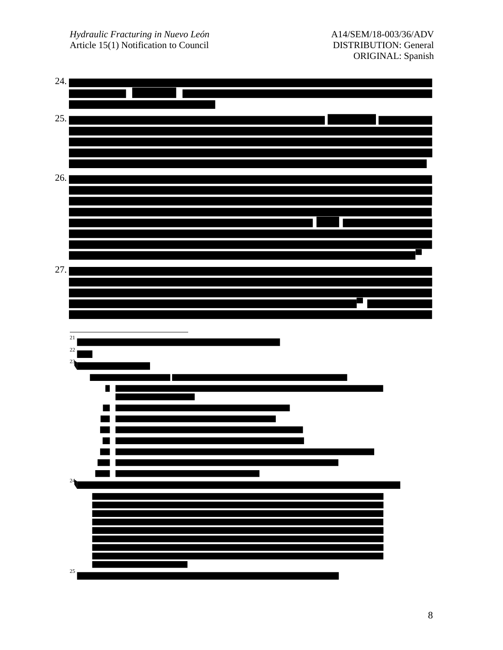*Hydraulic Fracturing in Nuevo León* Article 15(1) Notification to Council

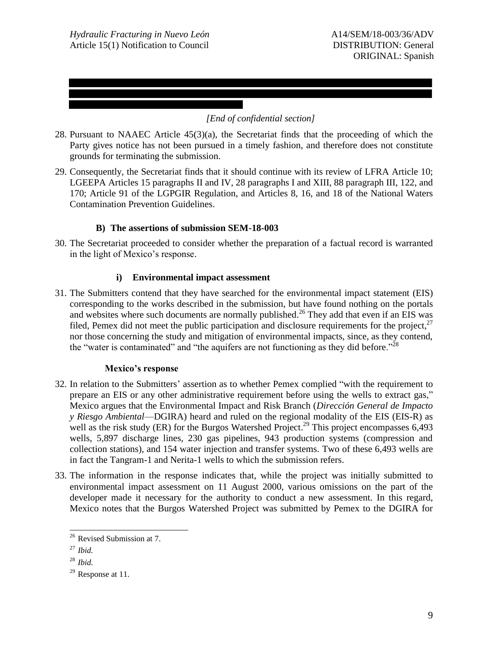## *[End of confidential section]*

- 28. Pursuant to NAAEC Article 45(3)(a), the Secretariat finds that the proceeding of which the Party gives notice has not been pursued in a timely fashion, and therefore does not constitute grounds for terminating the submission.
- 29. Consequently, the Secretariat finds that it should continue with its review of LFRA Article 10; LGEEPA Articles 15 paragraphs II and IV, 28 paragraphs I and XIII, 88 paragraph III, 122, and 170; Article 91 of the LGPGIR Regulation, and Articles 8, 16, and 18 of the National Waters Contamination Prevention Guidelines.

## **B) The assertions of submission SEM-18-003**

30. The Secretariat proceeded to consider whether the preparation of a factual record is warranted in the light of Mexico's response.

### **i) Environmental impact assessment**

31. The Submitters contend that they have searched for the environmental impact statement (EIS) corresponding to the works described in the submission, but have found nothing on the portals and websites where such documents are normally published.<sup>26</sup> They add that even if an EIS was filed, Pemex did not meet the public participation and disclosure requirements for the project,  $27$ nor those concerning the study and mitigation of environmental impacts, since, as they contend, the "water is contaminated" and "the aquifers are not functioning as they did before." $^{28}$ 

#### **Mexico's response**

- 32. In relation to the Submitters' assertion as to whether Pemex complied "with the requirement to prepare an EIS or any other administrative requirement before using the wells to extract gas," Mexico argues that the Environmental Impact and Risk Branch (*Dirección General de Impacto y Riesgo Ambiental*—DGIRA) heard and ruled on the regional modality of the EIS (EIS-R) as well as the risk study (ER) for the Burgos Watershed Project.<sup>29</sup> This project encompasses 6,493 wells, 5,897 discharge lines, 230 gas pipelines, 943 production systems (compression and collection stations), and 154 water injection and transfer systems. Two of these 6,493 wells are in fact the Tangram-1 and Nerita-1 wells to which the submission refers.
- 33. The information in the response indicates that, while the project was initially submitted to environmental impact assessment on 11 August 2000, various omissions on the part of the developer made it necessary for the authority to conduct a new assessment. In this regard, Mexico notes that the Burgos Watershed Project was submitted by Pemex to the DGIRA for

l

<sup>&</sup>lt;sup>26</sup> Revised Submission at 7.

<sup>27</sup> *Ibid.* 

<sup>28</sup> *Ibid.*

 $29$  Response at 11.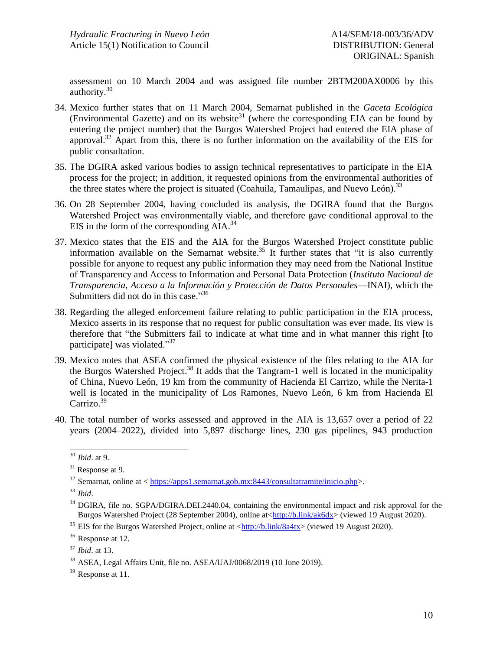assessment on 10 March 2004 and was assigned file number 2BTM200AX0006 by this authority. 30

- 34. Mexico further states that on 11 March 2004, Semarnat published in the *Gaceta Ecológica* (Environmental Gazette) and on its website<sup>31</sup> (where the corresponding EIA can be found by entering the project number) that the Burgos Watershed Project had entered the EIA phase of approval.<sup>32</sup> Apart from this, there is no further information on the availability of the EIS for public consultation.
- 35. The DGIRA asked various bodies to assign technical representatives to participate in the EIA process for the project; in addition, it requested opinions from the environmental authorities of the three states where the project is situated (Coahuila, Tamaulipas, and Nuevo León).<sup>33</sup>
- 36. On 28 September 2004, having concluded its analysis, the DGIRA found that the Burgos Watershed Project was environmentally viable, and therefore gave conditional approval to the EIS in the form of the corresponding AIA.<sup>34</sup>
- 37. Mexico states that the EIS and the AIA for the Burgos Watershed Project constitute public information available on the Semarnat website.<sup>35</sup> It further states that "it is also currently possible for anyone to request any public information they may need from the National Institue of Transparency and Access to Information and Personal Data Protection (*Instituto Nacional de Transparencia, Acceso a la Información y Protección de Datos Personales*—INAI), which the Submitters did not do in this case."<sup>36</sup>
- 38. Regarding the alleged enforcement failure relating to public participation in the EIA process, Mexico asserts in its response that no request for public consultation was ever made. Its view is therefore that "the Submitters fail to indicate at what time and in what manner this right [to participate] was violated."<sup>37</sup>
- 39. Mexico notes that ASEA confirmed the physical existence of the files relating to the AIA for the Burgos Watershed Project.<sup>38</sup> It adds that the Tangram-1 well is located in the municipality of China, Nuevo León, 19 km from the community of Hacienda El Carrizo, while the Nerita-1 well is located in the municipality of Los Ramones, Nuevo León, 6 km from Hacienda El Carrizo.<sup>39</sup>
- 40. The total number of works assessed and approved in the AIA is 13,657 over a period of 22 years (2004–2022), divided into 5,897 discharge lines, 230 gas pipelines, 943 production

l <sup>30</sup> *Ibid*. at 9.

<sup>&</sup>lt;sup>31</sup> Response at 9.

 $32$  Semarnat, online at  $\langle h_{\text{t}}(x) \rangle = \frac{32}{2443}$  Semarnat.gob.mx:8443/consultatramite/inicio.php>.

<sup>33</sup> *Ibid*.

<sup>&</sup>lt;sup>34</sup> DGIRA, file no. SGPA/DGIRA.DEI.2440.04, containing the environmental impact and risk approval for the Burgos Watershed Project (28 September 2004), online at[<http://b.link/ak6dx>](http://b.link/ak6dx) (viewed 19 August 2020).

<sup>&</sup>lt;sup>35</sup> EIS for the Burgos Watershed Project, online at  $\langle \frac{\text{http://b.link/8a4tx>}}{\text{http://b.link/8a4tx>}}$  (viewed 19 August 2020).

<sup>&</sup>lt;sup>36</sup> Response at 12.

<sup>37</sup> *Ibid*. at 13.

<sup>38</sup> ASEA, Legal Affairs Unit, file no. ASEA/UAJ/0068/2019 (10 June 2019).

<sup>&</sup>lt;sup>39</sup> Response at 11.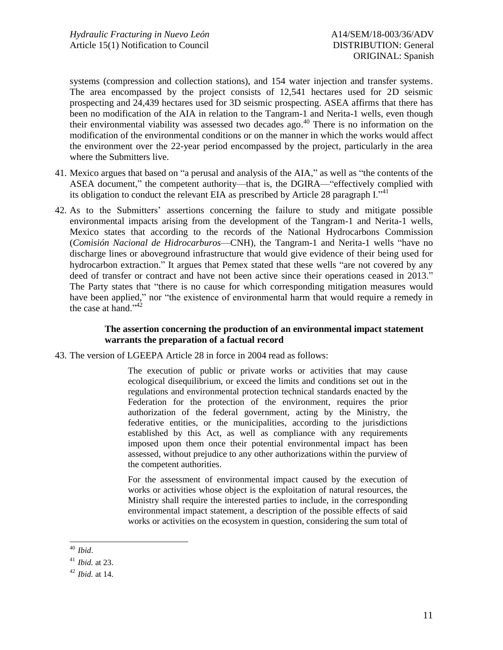systems (compression and collection stations), and 154 water injection and transfer systems. The area encompassed by the project consists of 12,541 hectares used for 2D seismic prospecting and 24,439 hectares used for 3D seismic prospecting. ASEA affirms that there has been no modification of the AIA in relation to the Tangram-1 and Nerita-1 wells, even though their environmental viability was assessed two decades ago. <sup>40</sup> There is no information on the modification of the environmental conditions or on the manner in which the works would affect the environment over the 22-year period encompassed by the project, particularly in the area where the Submitters live.

- 41. Mexico argues that based on "a perusal and analysis of the AIA," as well as "the contents of the ASEA document," the competent authority—that is, the DGIRA—"effectively complied with its obligation to conduct the relevant EIA as prescribed by Article 28 paragraph I."<sup>41</sup>
- 42. As to the Submitters' assertions concerning the failure to study and mitigate possible environmental impacts arising from the development of the Tangram-1 and Nerita-1 wells, Mexico states that according to the records of the National Hydrocarbons Commission (*Comisión Nacional de Hidrocarburos*—CNH), the Tangram-1 and Nerita-1 wells "have no discharge lines or aboveground infrastructure that would give evidence of their being used for hydrocarbon extraction." It argues that Pemex stated that these wells "are not covered by any deed of transfer or contract and have not been active since their operations ceased in 2013." The Party states that "there is no cause for which corresponding mitigation measures would have been applied," nor "the existence of environmental harm that would require a remedy in the case at hand."<sup>42</sup>

### **The assertion concerning the production of an environmental impact statement warrants the preparation of a factual record**

43. The version of LGEEPA Article 28 in force in 2004 read as follows:

The execution of public or private works or activities that may cause ecological disequilibrium, or exceed the limits and conditions set out in the regulations and environmental protection technical standards enacted by the Federation for the protection of the environment, requires the prior authorization of the federal government, acting by the Ministry, the federative entities, or the municipalities, according to the jurisdictions established by this Act, as well as compliance with any requirements imposed upon them once their potential environmental impact has been assessed, without prejudice to any other authorizations within the purview of the competent authorities.

For the assessment of environmental impact caused by the execution of works or activities whose object is the exploitation of natural resources, the Ministry shall require the interested parties to include, in the corresponding environmental impact statement, a description of the possible effects of said works or activities on the ecosystem in question, considering the sum total of

l <sup>40</sup> *Ibid*.

<sup>41</sup> *Ibid.* at 23.

<sup>42</sup> *Ibid.* at 14.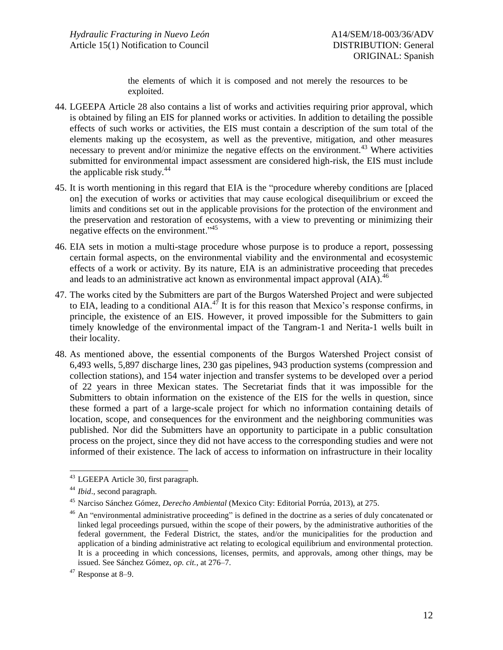the elements of which it is composed and not merely the resources to be exploited.

- 44. LGEEPA Article 28 also contains a list of works and activities requiring prior approval, which is obtained by filing an EIS for planned works or activities. In addition to detailing the possible effects of such works or activities, the EIS must contain a description of the sum total of the elements making up the ecosystem, as well as the preventive, mitigation, and other measures necessary to prevent and/or minimize the negative effects on the environment.<sup>43</sup> Where activities submitted for environmental impact assessment are considered high-risk, the EIS must include the applicable risk study.<sup>44</sup>
- 45. It is worth mentioning in this regard that EIA is the "procedure whereby conditions are [placed on] the execution of works or activities that may cause ecological disequilibrium or exceed the limits and conditions set out in the applicable provisions for the protection of the environment and the preservation and restoration of ecosystems, with a view to preventing or minimizing their negative effects on the environment."<sup>45</sup>
- 46. EIA sets in motion a multi-stage procedure whose purpose is to produce a report, possessing certain formal aspects, on the environmental viability and the environmental and ecosystemic effects of a work or activity. By its nature, EIA is an administrative proceeding that precedes and leads to an administrative act known as environmental impact approval  $(AIA)$ .<sup>46</sup>
- 47. The works cited by the Submitters are part of the Burgos Watershed Project and were subjected to EIA, leading to a conditional AIA. $^{47}$  It is for this reason that Mexico's response confirms, in principle, the existence of an EIS. However, it proved impossible for the Submitters to gain timely knowledge of the environmental impact of the Tangram-1 and Nerita-1 wells built in their locality.
- 48. As mentioned above, the essential components of the Burgos Watershed Project consist of 6,493 wells, 5,897 discharge lines, 230 gas pipelines, 943 production systems (compression and collection stations), and 154 water injection and transfer systems to be developed over a period of 22 years in three Mexican states. The Secretariat finds that it was impossible for the Submitters to obtain information on the existence of the EIS for the wells in question, since these formed a part of a large-scale project for which no information containing details of location, scope, and consequences for the environment and the neighboring communities was published. Nor did the Submitters have an opportunity to participate in a public consultation process on the project, since they did not have access to the corresponding studies and were not informed of their existence. The lack of access to information on infrastructure in their locality

l

<sup>&</sup>lt;sup>43</sup> LGEEPA Article 30, first paragraph.

<sup>44</sup> *Ibid*.*,* second paragraph.

<sup>45</sup> Narciso Sánchez Gómez, *Derecho Ambiental* (Mexico City: Editorial Porrúa, 2013), at 275.

<sup>&</sup>lt;sup>46</sup> An "environmental administrative proceeding" is defined in the doctrine as a series of duly concatenated or linked legal proceedings pursued, within the scope of their powers, by the administrative authorities of the federal government, the Federal District, the states, and/or the municipalities for the production and application of a binding administrative act relating to ecological equilibrium and environmental protection. It is a proceeding in which concessions, licenses, permits, and approvals, among other things, may be issued. See Sánchez Gómez, *op. cit.*, at 276–7.

<sup>47</sup> Response at 8–9.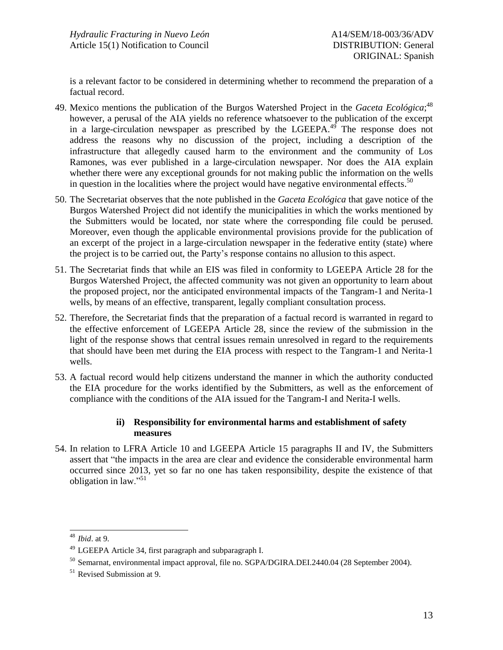is a relevant factor to be considered in determining whether to recommend the preparation of a factual record.

- 49. Mexico mentions the publication of the Burgos Watershed Project in the *Gaceta Ecológica*; 48 however, a perusal of the AIA yields no reference whatsoever to the publication of the excerpt in a large-circulation newspaper as prescribed by the  $LGEEPA<sup>49</sup>$ . The response does not address the reasons why no discussion of the project, including a description of the infrastructure that allegedly caused harm to the environment and the community of Los Ramones, was ever published in a large-circulation newspaper. Nor does the AIA explain whether there were any exceptional grounds for not making public the information on the wells in question in the localities where the project would have negative environmental effects.<sup>50</sup>
- 50. The Secretariat observes that the note published in the *Gaceta Ecológica* that gave notice of the Burgos Watershed Project did not identify the municipalities in which the works mentioned by the Submitters would be located, nor state where the corresponding file could be perused. Moreover, even though the applicable environmental provisions provide for the publication of an excerpt of the project in a large-circulation newspaper in the federative entity (state) where the project is to be carried out, the Party's response contains no allusion to this aspect.
- 51. The Secretariat finds that while an EIS was filed in conformity to LGEEPA Article 28 for the Burgos Watershed Project, the affected community was not given an opportunity to learn about the proposed project, nor the anticipated environmental impacts of the Tangram-1 and Nerita-1 wells, by means of an effective, transparent, legally compliant consultation process.
- 52. Therefore, the Secretariat finds that the preparation of a factual record is warranted in regard to the effective enforcement of LGEEPA Article 28, since the review of the submission in the light of the response shows that central issues remain unresolved in regard to the requirements that should have been met during the EIA process with respect to the Tangram-1 and Nerita-1 wells.
- 53. A factual record would help citizens understand the manner in which the authority conducted the EIA procedure for the works identified by the Submitters, as well as the enforcement of compliance with the conditions of the AIA issued for the Tangram-I and Nerita-I wells.

# **ii) Responsibility for environmental harms and establishment of safety measures**

54. In relation to LFRA Article 10 and LGEEPA Article 15 paragraphs II and IV, the Submitters assert that "the impacts in the area are clear and evidence the considerable environmental harm occurred since 2013, yet so far no one has taken responsibility, despite the existence of that obligation in law."<sup>51</sup>

l <sup>48</sup> *Ibid*. at 9.

<sup>49</sup> LGEEPA Article 34, first paragraph and subparagraph I.

<sup>50</sup> Semarnat, environmental impact approval, file no. SGPA/DGIRA.DEI.2440.04 (28 September 2004).

<sup>51</sup> Revised Submission at 9.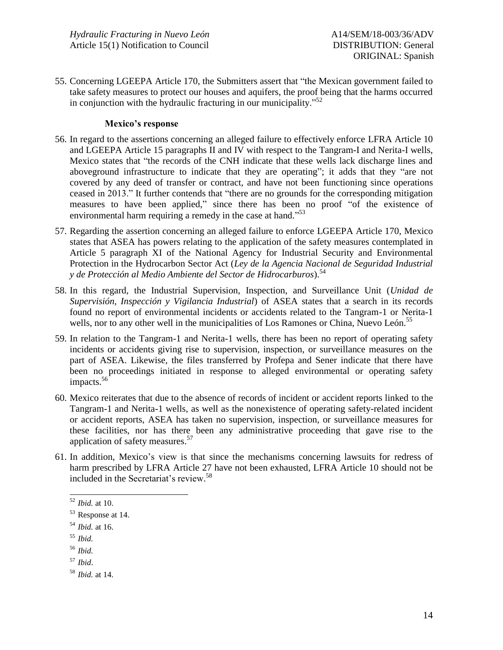55. Concerning LGEEPA Article 170, the Submitters assert that "the Mexican government failed to take safety measures to protect our houses and aquifers, the proof being that the harms occurred in conjunction with the hydraulic fracturing in our municipality."<sup>52</sup>

### **Mexico's response**

- 56. In regard to the assertions concerning an alleged failure to effectively enforce LFRA Article 10 and LGEEPA Article 15 paragraphs II and IV with respect to the Tangram-I and Nerita-I wells, Mexico states that "the records of the CNH indicate that these wells lack discharge lines and aboveground infrastructure to indicate that they are operating"; it adds that they "are not covered by any deed of transfer or contract, and have not been functioning since operations ceased in 2013." It further contends that "there are no grounds for the corresponding mitigation measures to have been applied," since there has been no proof "of the existence of environmental harm requiring a remedy in the case at hand."<sup>53</sup>
- 57. Regarding the assertion concerning an alleged failure to enforce LGEEPA Article 170, Mexico states that ASEA has powers relating to the application of the safety measures contemplated in Article 5 paragraph XI of the National Agency for Industrial Security and Environmental Protection in the Hydrocarbon Sector Act (*Ley de la Agencia Nacional de Seguridad Industrial y de Protección al Medio Ambiente del Sector de Hidrocarburos*). 54
- 58. In this regard, the Industrial Supervision, Inspection, and Surveillance Unit (*Unidad de Supervisión, Inspección y Vigilancia Industrial*) of ASEA states that a search in its records found no report of environmental incidents or accidents related to the Tangram-1 or Nerita-1 wells, nor to any other well in the municipalities of Los Ramones or China, Nuevo León.<sup>55</sup>
- 59. In relation to the Tangram-1 and Nerita-1 wells, there has been no report of operating safety incidents or accidents giving rise to supervision, inspection, or surveillance measures on the part of ASEA. Likewise, the files transferred by Profepa and Sener indicate that there have been no proceedings initiated in response to alleged environmental or operating safety impacts. 56
- 60. Mexico reiterates that due to the absence of records of incident or accident reports linked to the Tangram-1 and Nerita-1 wells, as well as the nonexistence of operating safety-related incident or accident reports, ASEA has taken no supervision, inspection, or surveillance measures for these facilities, nor has there been any administrative proceeding that gave rise to the application of safety measures.<sup>57</sup>
- 61. In addition, Mexico's view is that since the mechanisms concerning lawsuits for redress of harm prescribed by LFRA Article 27 have not been exhausted, LFRA Article 10 should not be included in the Secretariat's review. 58

l

<sup>58</sup> *Ibid.* at 14.

<sup>52</sup> *Ibid.* at 10.

<sup>53</sup> Response at 14.

<sup>54</sup> *Ibid.* at 16.

<sup>55</sup> *Ibid.*

<sup>56</sup> *Ibid.*

<sup>57</sup> *Ibid*.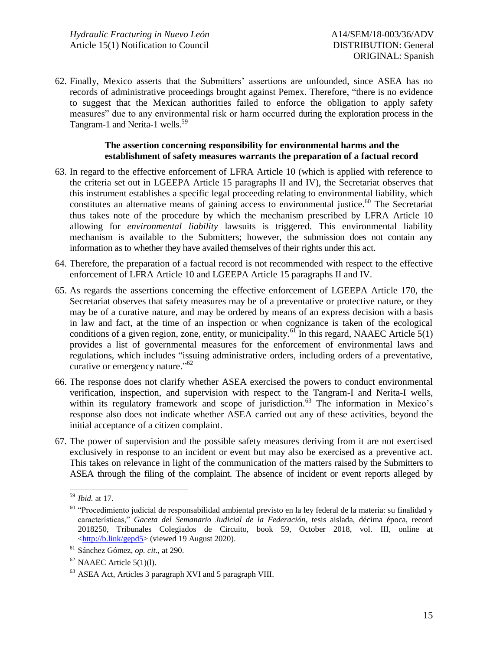62. Finally, Mexico asserts that the Submitters' assertions are unfounded, since ASEA has no records of administrative proceedings brought against Pemex. Therefore, "there is no evidence to suggest that the Mexican authorities failed to enforce the obligation to apply safety measures" due to any environmental risk or harm occurred during the exploration process in the Tangram-1 and Nerita-1 wells.<sup>59</sup>

## **The assertion concerning responsibility for environmental harms and the establishment of safety measures warrants the preparation of a factual record**

- 63. In regard to the effective enforcement of LFRA Article 10 (which is applied with reference to the criteria set out in LGEEPA Article 15 paragraphs II and IV), the Secretariat observes that this instrument establishes a specific legal proceeding relating to environmental liability, which constitutes an alternative means of gaining access to environmental justice. <sup>60</sup> The Secretariat thus takes note of the procedure by which the mechanism prescribed by LFRA Article 10 allowing for *environmental liability* lawsuits is triggered. This environmental liability mechanism is available to the Submitters; however, the submission does not contain any information as to whether they have availed themselves of their rights under this act.
- 64. Therefore, the preparation of a factual record is not recommended with respect to the effective enforcement of LFRA Article 10 and LGEEPA Article 15 paragraphs II and IV.
- 65. As regards the assertions concerning the effective enforcement of LGEEPA Article 170, the Secretariat observes that safety measures may be of a preventative or protective nature, or they may be of a curative nature, and may be ordered by means of an express decision with a basis in law and fact, at the time of an inspection or when cognizance is taken of the ecological conditions of a given region, zone, entity, or municipality.<sup>61</sup> In this regard, NAAEC Article 5(1) provides a list of governmental measures for the enforcement of environmental laws and regulations, which includes "issuing administrative orders, including orders of a preventative, curative or emergency nature."<sup>62</sup>
- 66. The response does not clarify whether ASEA exercised the powers to conduct environmental verification, inspection, and supervision with respect to the Tangram-I and Nerita-I wells, within its regulatory framework and scope of jurisdiction.<sup>63</sup> The information in Mexico's response also does not indicate whether ASEA carried out any of these activities, beyond the initial acceptance of a citizen complaint.
- 67. The power of supervision and the possible safety measures deriving from it are not exercised exclusively in response to an incident or event but may also be exercised as a preventive act. This takes on relevance in light of the communication of the matters raised by the Submitters to ASEA through the filing of the complaint. The absence of incident or event reports alleged by

l <sup>59</sup> *Ibid.* at 17.

<sup>&</sup>lt;sup>60</sup> "Procedimiento judicial de responsabilidad ambiental previsto en la ley federal de la materia: su finalidad y características," *Gaceta del Semanario Judicial de la Federación*, tesis aislada, décima época, record 2018250, Tribunales Colegiados de Circuito, book 59, October 2018, vol. III, online at [<http://b.link/gepd5>](http://b.link/gepd5) (viewed 19 August 2020).

<sup>61</sup> Sánchez Gómez, *op. cit*., at 290.

 $62$  NAAEC Article 5(1)(1).

<sup>63</sup> ASEA Act, Articles 3 paragraph XVI and 5 paragraph VIII.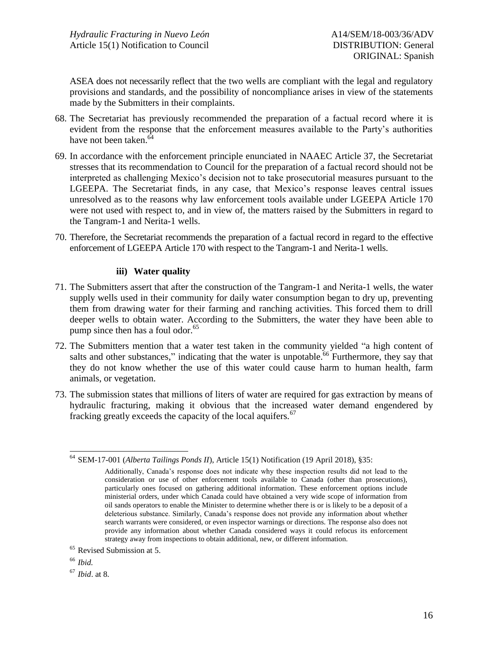ASEA does not necessarily reflect that the two wells are compliant with the legal and regulatory provisions and standards, and the possibility of noncompliance arises in view of the statements made by the Submitters in their complaints.

- 68. The Secretariat has previously recommended the preparation of a factual record where it is evident from the response that the enforcement measures available to the Party's authorities have not been taken. 64
- 69. In accordance with the enforcement principle enunciated in NAAEC Article 37, the Secretariat stresses that its recommendation to Council for the preparation of a factual record should not be interpreted as challenging Mexico's decision not to take prosecutorial measures pursuant to the LGEEPA. The Secretariat finds, in any case, that Mexico's response leaves central issues unresolved as to the reasons why law enforcement tools available under LGEEPA Article 170 were not used with respect to, and in view of, the matters raised by the Submitters in regard to the Tangram-1 and Nerita-1 wells.
- 70. Therefore, the Secretariat recommends the preparation of a factual record in regard to the effective enforcement of LGEEPA Article 170 with respect to the Tangram-1 and Nerita-1 wells.

## **iii) Water quality**

- 71. The Submitters assert that after the construction of the Tangram-1 and Nerita-1 wells, the water supply wells used in their community for daily water consumption began to dry up, preventing them from drawing water for their farming and ranching activities. This forced them to drill deeper wells to obtain water. According to the Submitters, the water they have been able to pump since then has a foul odor. $65$
- 72. The Submitters mention that a water test taken in the community yielded "a high content of salts and other substances," indicating that the water is unpotable.<sup>66</sup> Furthermore, they say that they do not know whether the use of this water could cause harm to human health, farm animals, or vegetation.
- 73. The submission states that millions of liters of water are required for gas extraction by means of hydraulic fracturing, making it obvious that the increased water demand engendered by fracking greatly exceeds the capacity of the local aquifers.<sup>67</sup>

<sup>67</sup> *Ibid*. at 8.

l <sup>64</sup> SEM-17-001 (*Alberta Tailings Ponds II*), Article 15(1) Notification (19 April 2018), §35:

Additionally, Canada's response does not indicate why these inspection results did not lead to the consideration or use of other enforcement tools available to Canada (other than prosecutions), particularly ones focused on gathering additional information. These enforcement options include ministerial orders, under which Canada could have obtained a very wide scope of information from oil sands operators to enable the Minister to determine whether there is or is likely to be a deposit of a deleterious substance. Similarly, Canada's response does not provide any information about whether search warrants were considered, or even inspector warnings or directions. The response also does not provide any information about whether Canada considered ways it could refocus its enforcement strategy away from inspections to obtain additional, new, or different information.

<sup>65</sup> Revised Submission at 5.

<sup>66</sup> *Ibid.*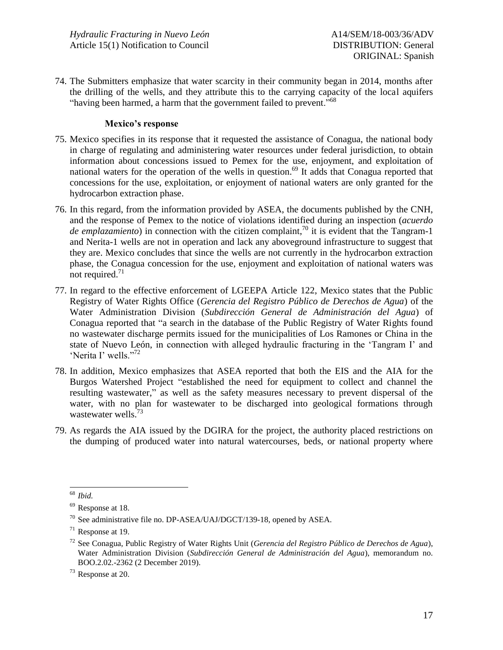74. The Submitters emphasize that water scarcity in their community began in 2014, months after the drilling of the wells, and they attribute this to the carrying capacity of the local aquifers "having been harmed, a harm that the government failed to prevent."<sup>68</sup>

### **Mexico's response**

- 75. Mexico specifies in its response that it requested the assistance of Conagua, the national body in charge of regulating and administering water resources under federal jurisdiction, to obtain information about concessions issued to Pemex for the use, enjoyment, and exploitation of national waters for the operation of the wells in question.<sup>69</sup> It adds that Conagua reported that concessions for the use, exploitation, or enjoyment of national waters are only granted for the hydrocarbon extraction phase.
- 76. In this regard, from the information provided by ASEA, the documents published by the CNH, and the response of Pemex to the notice of violations identified during an inspection (*acuerdo de emplazamiento*) in connection with the citizen complaint, <sup>70</sup> it is evident that the Tangram-1 and Nerita-1 wells are not in operation and lack any aboveground infrastructure to suggest that they are. Mexico concludes that since the wells are not currently in the hydrocarbon extraction phase, the Conagua concession for the use, enjoyment and exploitation of national waters was not required. $71$
- 77. In regard to the effective enforcement of LGEEPA Article 122, Mexico states that the Public Registry of Water Rights Office (*Gerencia del Registro Público de Derechos de Agua*) of the Water Administration Division (*Subdirección General de Administración del Agua*) of Conagua reported that "a search in the database of the Public Registry of Water Rights found no wastewater discharge permits issued for the municipalities of Los Ramones or China in the state of Nuevo León, in connection with alleged hydraulic fracturing in the 'Tangram I' and 'Nerita I' wells."<sup>72</sup>
- 78. In addition, Mexico emphasizes that ASEA reported that both the EIS and the AIA for the Burgos Watershed Project "established the need for equipment to collect and channel the resulting wastewater," as well as the safety measures necessary to prevent dispersal of the water, with no plan for wastewater to be discharged into geological formations through wastewater wells.<sup>73</sup>
- 79. As regards the AIA issued by the DGIRA for the project, the authority placed restrictions on the dumping of produced water into natural watercourses, beds, or national property where

l <sup>68</sup> *Ibid.*

<sup>69</sup> Response at 18.

<sup>70</sup> See administrative file no. DP-ASEA/UAJ/DGCT/139-18, opened by ASEA.

 $71$  Response at 19.

<sup>72</sup> See Conagua, Public Registry of Water Rights Unit (*Gerencia del Registro Público de Derechos de Agua*), Water Administration Division (*Subdirección General de Administración del Agua*)*,* memorandum no. BOO.2.02.-2362 (2 December 2019).

<sup>73</sup> Response at 20.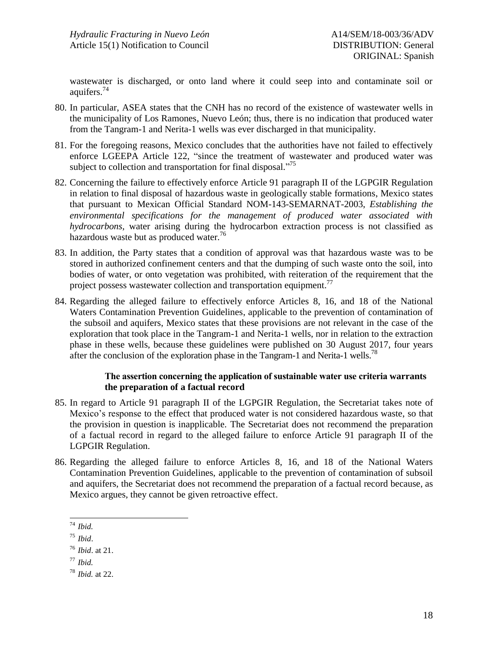wastewater is discharged, or onto land where it could seep into and contaminate soil or aquifers.<sup>74</sup>

- 80. In particular, ASEA states that the CNH has no record of the existence of wastewater wells in the municipality of Los Ramones, Nuevo León; thus, there is no indication that produced water from the Tangram-1 and Nerita-1 wells was ever discharged in that municipality.
- 81. For the foregoing reasons, Mexico concludes that the authorities have not failed to effectively enforce LGEEPA Article 122, "since the treatment of wastewater and produced water was subject to collection and transportation for final disposal."<sup>75</sup>
- 82. Concerning the failure to effectively enforce Article 91 paragraph II of the LGPGIR Regulation in relation to final disposal of hazardous waste in geologically stable formations, Mexico states that pursuant to Mexican Official Standard NOM-143-SEMARNAT-2003, *Establishing the environmental specifications for the management of produced water associated with hydrocarbons,* water arising during the hydrocarbon extraction process is not classified as hazardous waste but as produced water*.* 76
- 83. In addition, the Party states that a condition of approval was that hazardous waste was to be stored in authorized confinement centers and that the dumping of such waste onto the soil, into bodies of water, or onto vegetation was prohibited, with reiteration of the requirement that the project possess wastewater collection and transportation equipment.<sup>77</sup>
- 84. Regarding the alleged failure to effectively enforce Articles 8, 16, and 18 of the National Waters Contamination Prevention Guidelines, applicable to the prevention of contamination of the subsoil and aquifers, Mexico states that these provisions are not relevant in the case of the exploration that took place in the Tangram-1 and Nerita-1 wells, nor in relation to the extraction phase in these wells, because these guidelines were published on 30 August 2017, four years after the conclusion of the exploration phase in the Tangram-1 and Nerita-1 wells.<sup>78</sup>

## **The assertion concerning the application of sustainable water use criteria warrants the preparation of a factual record**

- 85. In regard to Article 91 paragraph II of the LGPGIR Regulation, the Secretariat takes note of Mexico's response to the effect that produced water is not considered hazardous waste, so that the provision in question is inapplicable. The Secretariat does not recommend the preparation of a factual record in regard to the alleged failure to enforce Article 91 paragraph II of the LGPGIR Regulation.
- 86. Regarding the alleged failure to enforce Articles 8, 16, and 18 of the National Waters Contamination Prevention Guidelines, applicable to the prevention of contamination of subsoil and aquifers, the Secretariat does not recommend the preparation of a factual record because, as Mexico argues, they cannot be given retroactive effect.

l <sup>74</sup> *Ibid.*

<sup>75</sup> *Ibid*.

<sup>76</sup> *Ibid*. at 21.

<sup>77</sup> *Ibid.*

<sup>78</sup> *Ibid.* at 22.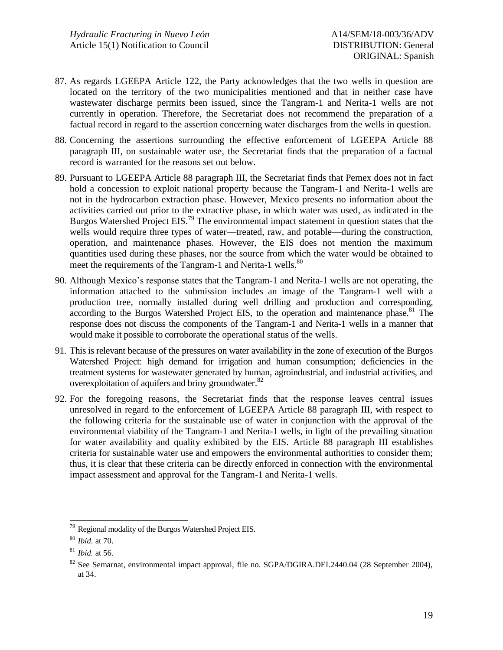- 87. As regards LGEEPA Article 122, the Party acknowledges that the two wells in question are located on the territory of the two municipalities mentioned and that in neither case have wastewater discharge permits been issued, since the Tangram-1 and Nerita-1 wells are not currently in operation. Therefore, the Secretariat does not recommend the preparation of a factual record in regard to the assertion concerning water discharges from the wells in question.
- 88. Concerning the assertions surrounding the effective enforcement of LGEEPA Article 88 paragraph III, on sustainable water use, the Secretariat finds that the preparation of a factual record is warranted for the reasons set out below.
- 89. Pursuant to LGEEPA Article 88 paragraph III, the Secretariat finds that Pemex does not in fact hold a concession to exploit national property because the Tangram-1 and Nerita-1 wells are not in the hydrocarbon extraction phase. However, Mexico presents no information about the activities carried out prior to the extractive phase, in which water was used, as indicated in the Burgos Watershed Project EIS.<sup>79</sup> The environmental impact statement in question states that the wells would require three types of water—treated, raw, and potable—during the construction, operation, and maintenance phases. However, the EIS does not mention the maximum quantities used during these phases, nor the source from which the water would be obtained to meet the requirements of the Tangram-1 and Nerita-1 wells.<sup>80</sup>
- 90. Although Mexico's response states that the Tangram-1 and Nerita-1 wells are not operating, the information attached to the submission includes an image of the Tangram-1 well with a production tree, normally installed during well drilling and production and corresponding, according to the Burgos Watershed Project EIS, to the operation and maintenance phase.<sup>81</sup> The response does not discuss the components of the Tangram-1 and Nerita-1 wells in a manner that would make it possible to corroborate the operational status of the wells.
- 91. This is relevant because of the pressures on water availability in the zone of execution of the Burgos Watershed Project: high demand for irrigation and human consumption; deficiencies in the treatment systems for wastewater generated by human, agroindustrial, and industrial activities, and overexploitation of aquifers and briny groundwater.<sup>82</sup>
- 92. For the foregoing reasons, the Secretariat finds that the response leaves central issues unresolved in regard to the enforcement of LGEEPA Article 88 paragraph III, with respect to the following criteria for the sustainable use of water in conjunction with the approval of the environmental viability of the Tangram-1 and Nerita-1 wells, in light of the prevailing situation for water availability and quality exhibited by the EIS. Article 88 paragraph III establishes criteria for sustainable water use and empowers the environmental authorities to consider them; thus, it is clear that these criteria can be directly enforced in connection with the environmental impact assessment and approval for the Tangram-1 and Nerita-1 wells.

l <sup>79</sup> Regional modality of the Burgos Watershed Project EIS.

<sup>80</sup> *Ibid.* at 70.

<sup>81</sup> *Ibid.* at 56.

<sup>&</sup>lt;sup>82</sup> See Semarnat, environmental impact approval, file no. SGPA/DGIRA.DEI.2440.04 (28 September 2004), at 34.